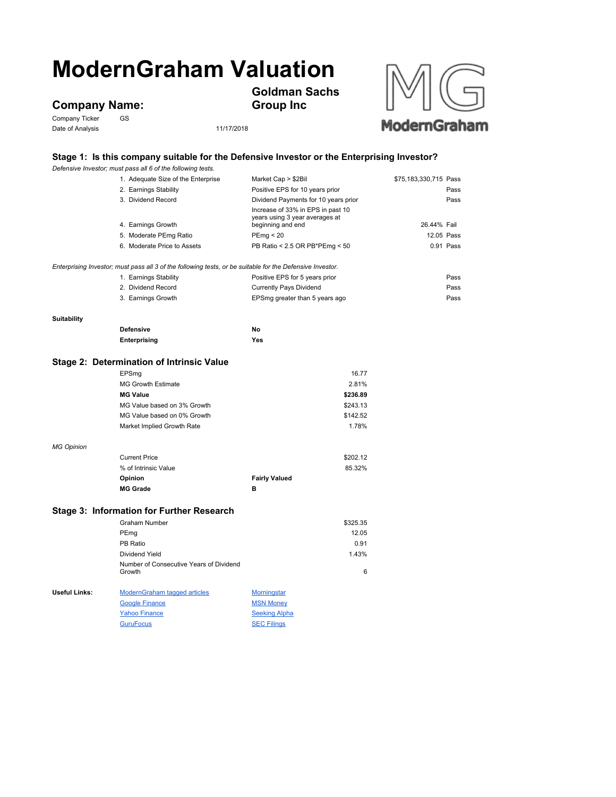## **ModernGraham Valuation**

**Company Name:**<br>Company Ticker GS

Company Ticker Date of Analysis 11/17/2018



## **Stage 1: Is this company suitable for the Defensive Investor or the Enterprising Investor?**

**Goldman Sachs** 

**Group Inc**

|                                                                                                           | Defensive Investor; must pass all 6 of the following tests. |                                                                                          |                       |  |  |
|-----------------------------------------------------------------------------------------------------------|-------------------------------------------------------------|------------------------------------------------------------------------------------------|-----------------------|--|--|
|                                                                                                           | 1. Adequate Size of the Enterprise                          | Market Cap > \$2Bil                                                                      | \$75,183,330,715 Pass |  |  |
|                                                                                                           | 2. Earnings Stability                                       | Positive EPS for 10 years prior                                                          | Pass                  |  |  |
|                                                                                                           | 3. Dividend Record                                          | Dividend Payments for 10 years prior                                                     | Pass                  |  |  |
|                                                                                                           | 4. Earnings Growth                                          | Increase of 33% in EPS in past 10<br>years using 3 year averages at<br>beginning and end | 26.44% Fail           |  |  |
|                                                                                                           | 5. Moderate PEmg Ratio                                      | PEmp < 20                                                                                | 12.05 Pass            |  |  |
|                                                                                                           | 6. Moderate Price to Assets                                 | PB Ratio < 2.5 OR PB*PEmg < 50                                                           | 0.91 Pass             |  |  |
|                                                                                                           |                                                             |                                                                                          |                       |  |  |
| Enterprising Investor; must pass all 3 of the following tests, or be suitable for the Defensive Investor. |                                                             |                                                                                          |                       |  |  |
|                                                                                                           | 1. Earnings Stability                                       | Positive EPS for 5 years prior                                                           | Pass                  |  |  |
|                                                                                                           | 2. Dividend Record                                          | <b>Currently Pays Dividend</b>                                                           | Pass                  |  |  |
|                                                                                                           | 3. Earnings Growth                                          | EPSmg greater than 5 years ago                                                           | Pass                  |  |  |
| <b>Suitability</b>                                                                                        |                                                             |                                                                                          |                       |  |  |
|                                                                                                           | <b>Defensive</b>                                            | No                                                                                       |                       |  |  |
|                                                                                                           | Enterprising                                                | Yes                                                                                      |                       |  |  |
|                                                                                                           |                                                             |                                                                                          |                       |  |  |
| Stage 2: Determination of Intrinsic Value                                                                 |                                                             |                                                                                          |                       |  |  |
|                                                                                                           | EPSmg                                                       | 16.77                                                                                    |                       |  |  |
|                                                                                                           | MG Growth Estimate                                          | 2.81%                                                                                    |                       |  |  |
|                                                                                                           | <b>MG Value</b>                                             | \$236.89                                                                                 |                       |  |  |
|                                                                                                           | MG Value based on 3% Growth                                 | \$243.13                                                                                 |                       |  |  |
|                                                                                                           | MG Value based on 0% Growth                                 | \$142.52                                                                                 |                       |  |  |
|                                                                                                           | Market Implied Growth Rate                                  | 1.78%                                                                                    |                       |  |  |
| <b>MG Opinion</b>                                                                                         |                                                             |                                                                                          |                       |  |  |
|                                                                                                           | <b>Current Price</b>                                        | \$202.12                                                                                 |                       |  |  |
|                                                                                                           | % of Intrinsic Value                                        | 85.32%                                                                                   |                       |  |  |
|                                                                                                           | Opinion                                                     | <b>Fairly Valued</b>                                                                     |                       |  |  |
|                                                                                                           | <b>MG Grade</b>                                             | в                                                                                        |                       |  |  |
|                                                                                                           | Stage 3: Information for Further Research                   |                                                                                          |                       |  |  |
|                                                                                                           | <b>Graham Number</b>                                        | \$325.35                                                                                 |                       |  |  |
|                                                                                                           | PEmg                                                        | 12.05                                                                                    |                       |  |  |
|                                                                                                           | PB Ratio                                                    | 0.91                                                                                     |                       |  |  |
|                                                                                                           | Dividend Yield                                              | 1.43%                                                                                    |                       |  |  |
|                                                                                                           | Number of Consecutive Years of Dividend                     |                                                                                          |                       |  |  |
|                                                                                                           | Growth                                                      | 6                                                                                        |                       |  |  |
| Useful Links:                                                                                             | ModernGraham tagged articles                                | <b>Morningstar</b>                                                                       |                       |  |  |
|                                                                                                           | <b>Google Finance</b>                                       | <b>MSN Money</b>                                                                         |                       |  |  |
|                                                                                                           | <b>Yahoo Finance</b>                                        | <b>Seeking Alpha</b>                                                                     |                       |  |  |
|                                                                                                           | <b>GuruFocus</b>                                            | <b>SEC Filings</b>                                                                       |                       |  |  |
|                                                                                                           |                                                             |                                                                                          |                       |  |  |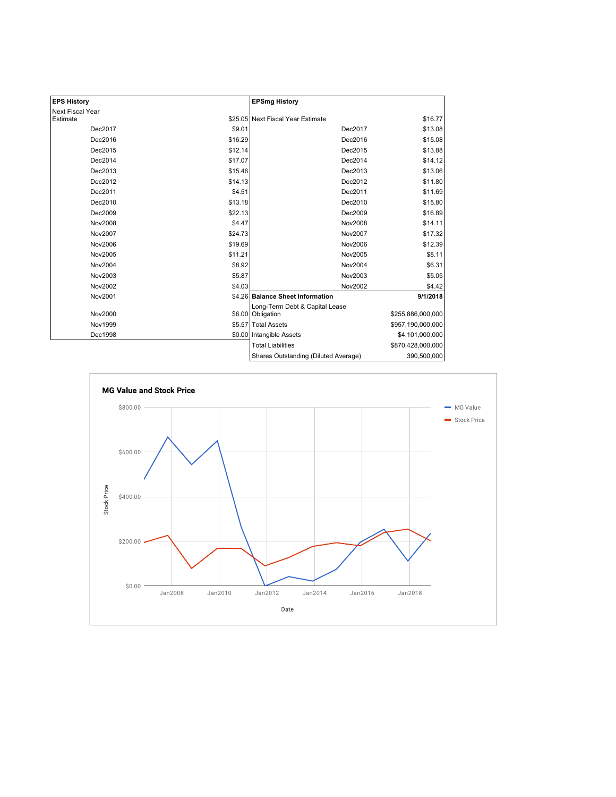| <b>EPS History</b> |         | <b>EPSmg History</b>                                |                   |
|--------------------|---------|-----------------------------------------------------|-------------------|
| Next Fiscal Year   |         |                                                     |                   |
| Estimate           |         | \$25.05 Next Fiscal Year Estimate                   | \$16.77           |
| Dec2017            | \$9.01  | Dec2017                                             | \$13.08           |
| Dec2016            | \$16.29 | Dec2016                                             | \$15.08           |
| Dec2015            | \$12.14 | Dec2015                                             | \$13.88           |
| Dec2014            | \$17.07 | Dec2014                                             | \$14.12           |
| Dec2013            | \$15.46 | Dec2013                                             | \$13.06           |
| Dec2012            | \$14.13 | Dec2012                                             | \$11.80           |
| Dec2011            | \$4.51  | Dec2011                                             | \$11.69           |
| Dec2010            | \$13.18 | Dec2010                                             | \$15.80           |
| Dec2009            | \$22.13 | Dec2009                                             | \$16.89           |
| Nov2008            | \$4.47  | Nov2008                                             | \$14.11           |
| Nov2007            | \$24.73 | Nov2007                                             | \$17.32           |
| Nov2006            | \$19.69 | Nov2006                                             | \$12.39           |
| Nov2005            | \$11.21 | Nov2005                                             | \$8.11            |
| Nov2004            | \$8.92  | Nov2004                                             | \$6.31            |
| Nov2003            | \$5.87  | Nov2003                                             | \$5.05            |
| Nov2002            | \$4.03  | Nov2002                                             | \$4.42            |
| Nov2001            |         | \$4.26 Balance Sheet Information                    | 9/1/2018          |
| Nov2000            |         | Long-Term Debt & Capital Lease<br>\$6.00 Obligation | \$255,886,000,000 |
| Nov1999            |         | \$5.57 Total Assets                                 | \$957,190,000,000 |
| Dec1998            |         | \$0.00 Intangible Assets                            | \$4,101,000,000   |
|                    |         | <b>Total Liabilities</b>                            | \$870,428,000,000 |
|                    |         | Shares Outstanding (Diluted Average)                | 390,500,000       |